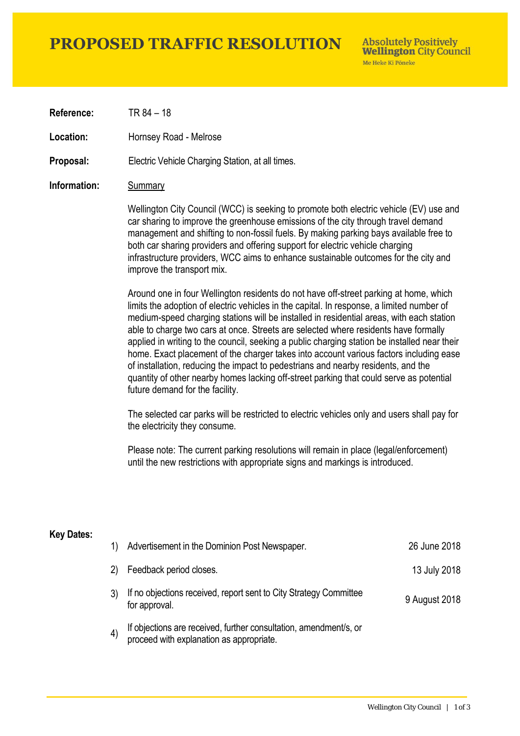# **PROPOSED TRAFFIC RESOLUTION**

**Absolutely Positively Wellington City Council** Me Heke Ki Pôneke

**Reference:** TR 84 – 18

**Location:** Hornsey Road - Melrose

**Proposal:** Electric Vehicle Charging Station, at all times.

### **Information:** Summary

Wellington City Council (WCC) is seeking to promote both electric vehicle (EV) use and car sharing to improve the greenhouse emissions of the city through travel demand management and shifting to non-fossil fuels. By making parking bays available free to both car sharing providers and offering support for electric vehicle charging infrastructure providers, WCC aims to enhance sustainable outcomes for the city and improve the transport mix.

Around one in four Wellington residents do not have off-street parking at home, which limits the adoption of electric vehicles in the capital. In response, a limited number of medium-speed charging stations will be installed in residential areas, with each station able to charge two cars at once. Streets are selected where residents have formally applied in writing to the council, seeking a public charging station be installed near their home. Exact placement of the charger takes into account various factors including ease of installation, reducing the impact to pedestrians and nearby residents, and the quantity of other nearby homes lacking off-street parking that could serve as potential future demand for the facility.

The selected car parks will be restricted to electric vehicles only and users shall pay for the electricity they consume.

Please note: The current parking resolutions will remain in place (legal/enforcement) until the new restrictions with appropriate signs and markings is introduced.

#### **Key Dates:**

| 1)                | Advertisement in the Dominion Post Newspaper.                                                                 | 26 June 2018  |
|-------------------|---------------------------------------------------------------------------------------------------------------|---------------|
| 2)                | Feedback period closes.                                                                                       | 13 July 2018  |
|                   | If no objections received, report sent to City Strategy Committee<br>for approval.                            | 9 August 2018 |
| $\left( 4\right)$ | If objections are received, further consultation, amendment/s, or<br>proceed with explanation as appropriate. |               |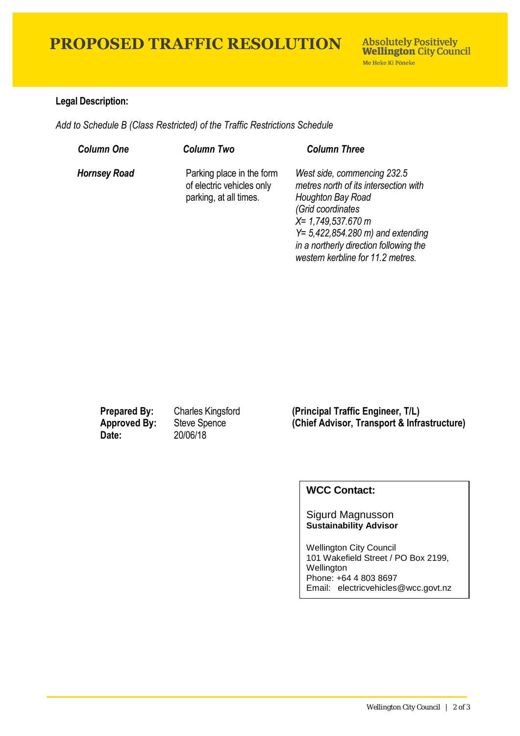# **PROPOSED TRAFFIC RESOLUTION**

### **Legal Description:**

*Add to Schedule B (Class Restricted) of the Traffic Restrictions Schedule* 

| <b>Column One</b>   | Column Two                                                                       | <b>Column Three</b>                                                                                                                                                                                                                                            |
|---------------------|----------------------------------------------------------------------------------|----------------------------------------------------------------------------------------------------------------------------------------------------------------------------------------------------------------------------------------------------------------|
| <b>Hornsey Road</b> | Parking place in the form<br>of electric vehicles only<br>parking, at all times. | West side, commencing 232.5<br>metres north of its intersection with<br>Houghton Bay Road<br>(Grid coordinates<br>$X = 1,749,537.670 m$<br>$Y = 5,422,854.280$ m) and extending<br>in a northerly direction following the<br>western kerbline for 11.2 metres. |

**Date:** 20/06/18

**Prepared By:** Charles Kingsford **(Principal Traffic Engineer, T/L) Approved By:** Steve Spence **(Chief Advisor, Transport & Infrastructure)**

## **WCC Contact:**

### Sigurd Magnusson **Sustainability Advisor**

Wellington City Council 101 Wakefield Street / PO Box 2199, Wellington Phone: +64 4 803 8697 Email: electricvehicles@wcc.govt.nz